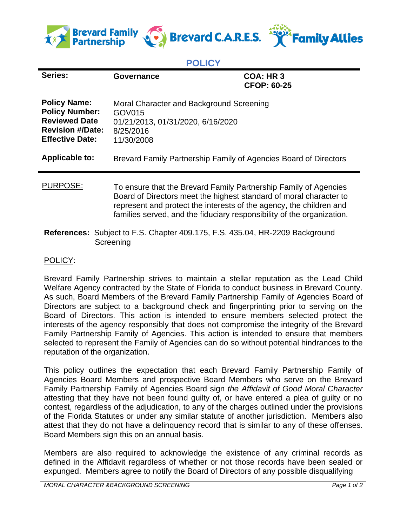

## **POLICY**

| Series:                                                                                                                                     | Governance                                                                                                                                                                                                                                                                              | <b>COA: HR3</b><br><b>CFOP: 60-25</b> |
|---------------------------------------------------------------------------------------------------------------------------------------------|-----------------------------------------------------------------------------------------------------------------------------------------------------------------------------------------------------------------------------------------------------------------------------------------|---------------------------------------|
| <b>Policy Name:</b><br><b>Policy Number:</b><br><b>Reviewed Date</b><br><b>Revision #/Date:</b><br><b>Effective Date:</b><br>Applicable to: | Moral Character and Background Screening<br>GOV015<br>01/21/2013, 01/31/2020, 6/16/2020<br>8/25/2016<br>11/30/2008<br>Brevard Family Partnership Family of Agencies Board of Directors                                                                                                  |                                       |
| PURPOSE:                                                                                                                                    | To ensure that the Brevard Family Partnership Family of Agencies<br>Board of Directors meet the highest standard of moral character to<br>represent and protect the interests of the agency, the children and<br>families served, and the fiduciary responsibility of the organization. |                                       |

**References:** Subject to F.S. Chapter 409.175, F.S. 435.04, HR-2209 Background **Screening** 

## POLICY:

Brevard Family Partnership strives to maintain a stellar reputation as the Lead Child Welfare Agency contracted by the State of Florida to conduct business in Brevard County. As such, Board Members of the Brevard Family Partnership Family of Agencies Board of Directors are subject to a background check and fingerprinting prior to serving on the Board of Directors. This action is intended to ensure members selected protect the interests of the agency responsibly that does not compromise the integrity of the Brevard Family Partnership Family of Agencies. This action is intended to ensure that members selected to represent the Family of Agencies can do so without potential hindrances to the reputation of the organization.

This policy outlines the expectation that each Brevard Family Partnership Family of Agencies Board Members and prospective Board Members who serve on the Brevard Family Partnership Family of Agencies Board sign *the Affidavit of Good Moral Character*  attesting that they have not been found guilty of, or have entered a plea of guilty or no contest, regardless of the adjudication, to any of the charges outlined under the provisions of the Florida Statutes or under any similar statute of another jurisdiction. Members also attest that they do not have a delinquency record that is similar to any of these offenses. Board Members sign this on an annual basis.

Members are also required to acknowledge the existence of any criminal records as defined in the Affidavit regardless of whether or not those records have been sealed or expunged. Members agree to notify the Board of Directors of any possible disqualifying